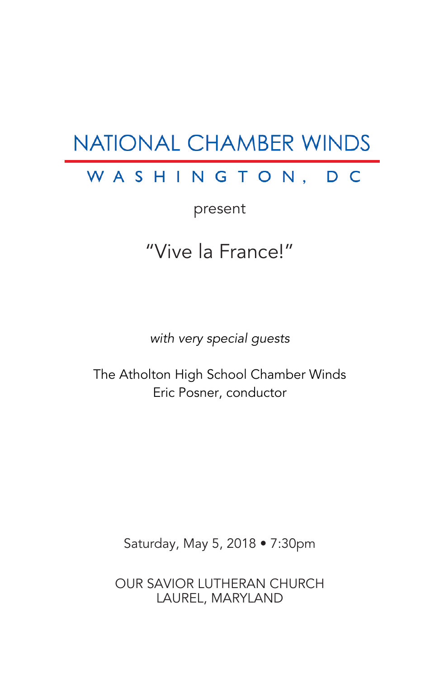# **NATIONAL CHAMBER WINDS**

# WASHINGTON, DC

present

# "Vive la France!"

*with very special guests*

The Atholton High School Chamber Winds Eric Posner, conductor

Saturday, May 5, 2018 • 7:30pm

OUR SAVIOR LUTHERAN CHURCH LAUREL, MARYLAND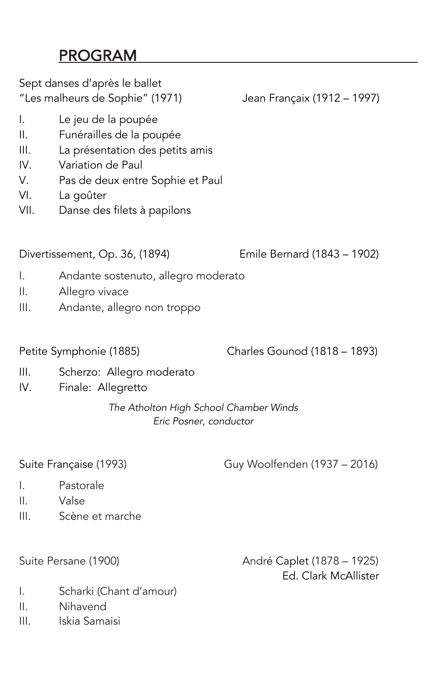## PROGRAM

| Sept danses d'après le ballet<br>"Les malheurs de Sophie" (1971) |                                                                                                                                                                                         | Jean Françaix (1912 – 1997) |
|------------------------------------------------------------------|-----------------------------------------------------------------------------------------------------------------------------------------------------------------------------------------|-----------------------------|
| Ι.<br>II.<br>Ⅲ.<br>IV.<br>V.<br>VI.<br>VII.                      | Le jeu de la poupée<br>Funérailles de la poupée<br>La présentation des petits amis<br>Variation de Paul<br>Pas de deux entre Sophie et Paul<br>La goûter<br>Danse des filets à papilons |                             |
| Divertissement, Op. 36, (1894)                                   |                                                                                                                                                                                         | Emile Bernard (1843 – 1902) |

- I. Andante sostenuto, allegro moderato
- II. Allegro vivace
- III. Andante, allegro non troppo

Petite Symphonie (1885) Charles Gounod (1818 – 1893)

- III. Scherzo: Allegro moderato
- IV. Finale: Allegretto

#### *The Atholton High School Chamber Winds Eric Posner, conductor*

Suite Française (1993) Guy Woolfenden (1937 – 2016)

- I. Pastorale
- II. Valse
- III. Scène et marche

Suite Persane (1900) (2008) (2014) André Caplet (1878 – 1925) Ed. Clark McAllister

- I. Scharki (Chant d'amour)
- II. Nihavend
- III. Iskia Samaisi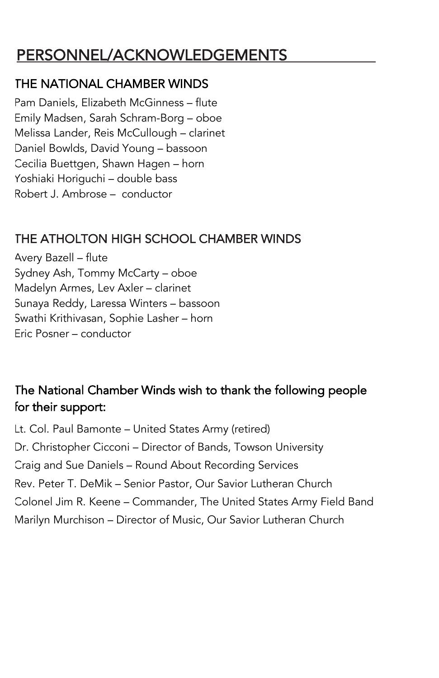## PERSONNEL/ACKNOWLEDGEMENTS

#### THE NATIONAL CHAMBER WINDS

Pam Daniels, Elizabeth McGinness – flute Emily Madsen, Sarah Schram-Borg – oboe Melissa Lander, Reis McCullough – clarinet Daniel Bowlds, David Young – bassoon Cecilia Buettgen, Shawn Hagen – horn Yoshiaki Horiguchi – double bass Robert J. Ambrose – conductor

#### THE ATHOLTON HIGH SCHOOL CHAMBER WINDS

Avery Bazell – flute Sydney Ash, Tommy McCarty – oboe Madelyn Armes, Lev Axler – clarinet Sunaya Reddy, Laressa Winters – bassoon Swathi Krithivasan, Sophie Lasher – horn Eric Posner – conductor

#### The National Chamber Winds wish to thank the following people for their support:

Lt. Col. Paul Bamonte – United States Army (retired) Dr. Christopher Cicconi – Director of Bands, Towson University Craig and Sue Daniels – Round About Recording Services Rev. Peter T. DeMik – Senior Pastor, Our Savior Lutheran Church Colonel Jim R. Keene – Commander, The United States Army Field Band Marilyn Murchison – Director of Music, Our Savior Lutheran Church